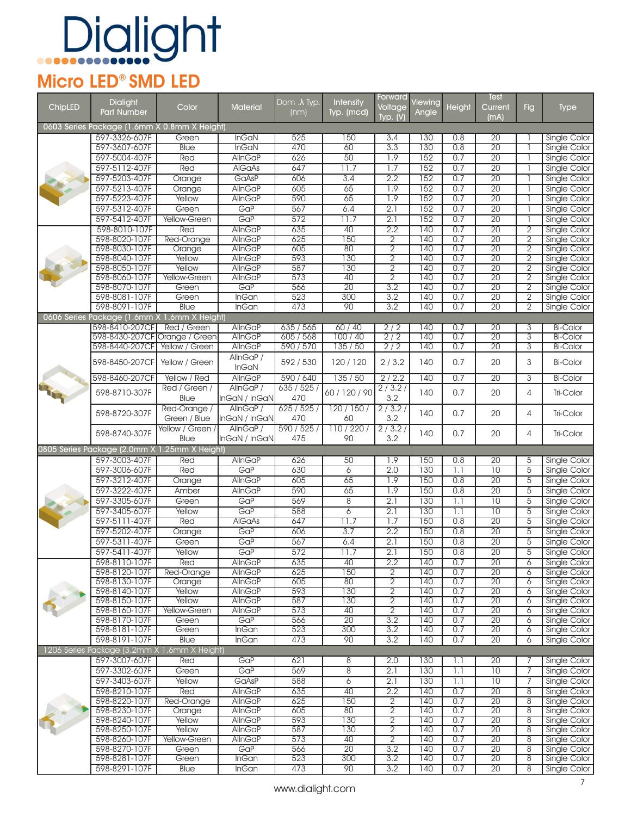#### Micro LED® SMD LED

|         | <b>Dialight</b>                              |                     |                 | Dom $\lambda$ Typ. | <b>Intensity</b>       | Forward          | Viewing          |                  | Test            |                |                              |
|---------|----------------------------------------------|---------------------|-----------------|--------------------|------------------------|------------------|------------------|------------------|-----------------|----------------|------------------------------|
| ChipLED | Part Number                                  | Color               | <b>Material</b> | (nm)               | Typ. (mcd)             | Voltage          | Angle            | Height           | Current         | Fig            | <b>Type</b>                  |
|         |                                              |                     |                 |                    |                        | Typ. $(N)$       |                  |                  | (mA)            |                |                              |
|         | 0603 Series Package (1.6mm X 0.8mm X Height) |                     |                 |                    |                        |                  |                  |                  |                 |                |                              |
|         | 597-3326-607F                                | Green               | <b>InGaN</b>    | 525                | 150                    | 3.4              | 130              | 0.8              | 20              |                | Single Color                 |
|         | 597-3607-607F                                | <b>Blue</b>         | <b>InGaN</b>    | 470                | 60                     | 3.3              | 130              | 0.8              | $\overline{20}$ |                | <b>Single Color</b>          |
|         | 597-5004-407F                                | Red                 | <b>AllnGaP</b>  | 626                | 50                     | 1.9              | 152              | 0.7              | $\overline{20}$ |                | Single Color                 |
|         | 597-5112-407F                                | Red                 | <b>AIGaAs</b>   | 647                | 11.7                   | 1.7              | 152              | 0.7              | $\overline{20}$ |                | Single Color                 |
|         | 597-5203-407F                                | Orange              | GaAsP           | 606                | 3.4                    | 2.2              | 152              | 0.7              | $\overline{20}$ |                | <b>Single Color</b>          |
|         | 597-5213-407F                                | Orange              | <b>AllnGaP</b>  | 605                | 65                     | $\overline{1.9}$ | $\overline{152}$ | 0.7              | $\overline{20}$ |                | Single Color                 |
|         | 597-5223-407F                                | Yellow              | <b>AllnGaP</b>  | 590                | 65                     | 7.9              | 152              | 0.7              | $\overline{20}$ |                | Single Color                 |
|         | 597-5312-407F                                | Green               | GaP             | 567                | 6.4                    | $\overline{2.1}$ | 152              | 0.7              | $\overline{20}$ |                | Single Color                 |
|         | 597-5412-407F                                | Yellow-Green        | GaP             | 572                | 11.7                   | 2.1              | 152              | 0.7              | $\overline{20}$ |                | Single Color                 |
|         | 598-8010-107F                                | Red                 | AllnGaP         | 635                | 40                     | 2.2              | 140              | 0.7              | $\overline{20}$ | $\overline{2}$ | <b>Single Color</b>          |
|         | 598-8020-107F                                | <b>Red-Orange</b>   | AllnGaP         | 625                | 150                    | $\overline{2}$   | 140              | 0.7              | $\overline{20}$ | $\overline{2}$ | Single Color                 |
|         | 598-8030-107F                                | Orange              | AllnGaP         | 605                | 80                     | $\overline{2}$   | 140              | 0.7              | $\overline{20}$ | $\overline{2}$ | <b>Single Color</b>          |
|         | 598-8040-107F                                | Yellow              | <b>AllnGaP</b>  | 593                | 130                    | $\overline{2}$   | 140              | 0.7              | $\overline{20}$ | $\overline{2}$ | Single Color                 |
|         | 598-8050-107F                                | Yellow              | AllnGaP         | 587                | 130                    | $\overline{2}$   | 140              | 0.7              | 20              | $\overline{2}$ | Single Color                 |
|         | 598-8060-107F                                | <b>Yellow-Green</b> | <b>AllnGaP</b>  | 573                | 40                     | $\overline{2}$   | 140              | 0.7              | $\overline{20}$ | $\overline{2}$ | <b>Single Color</b>          |
|         | 598-8070-107F                                | Green               | GaP             | 566                | $\overline{20}$        | 3.2              | 140              | 0.7              | $\overline{20}$ | $\overline{2}$ | <b>Single Color</b>          |
|         | 598-8081-107F                                | Green               | <b>InGan</b>    | 523                | 300                    | 3.2              | 140              | 0.7              | $\overline{20}$ | $\overline{2}$ | Single Color                 |
|         | 598-8091-107F                                | <b>Blue</b>         | <b>InGan</b>    | 473                | 90                     | 3.2              | $\overline{140}$ | 0.7              | $\overline{20}$ | $\overline{2}$ | Single Color                 |
|         | 0606 Series Package (1.6mm X 1.6mm X Height) |                     |                 |                    |                        |                  |                  |                  |                 |                |                              |
|         | 598-8410-207CF                               | Red / Green         | AllnGaP         | 635/565            | 60/40                  | 2/2              | 140              | 0.7              | $\overline{20}$ | 3              | <b>Bi-Color</b>              |
|         | 598-8430-207CF Orange / Green                |                     | AllnGaP         | 605/568            | 100 / 40               | $\overline{2/2}$ | 140              | 0.7              | $\overline{20}$ | $\overline{3}$ | <b>Bi-Color</b>              |
|         | 598-8440-207CF                               | Yellow / Green      | AllnGaP         | 590 / 570          | 135/50                 | 2/2              | 140              | 0.7              | $\overline{20}$ | 3              | <b>Bi-Color</b>              |
|         | 598-8450-207CF                               | Yellow / Green      | AllnGaP /       | 592 / 530          | 120/120                | 2/3.2            | 140              | 0.7              | 20              | 3              | <b>Bi-Color</b>              |
|         |                                              |                     | <b>InGaN</b>    |                    |                        |                  |                  |                  |                 |                |                              |
|         | 598-8460-207CF                               | Yellow / Red        | AllnGaP         | 590 / 640          | 135/50                 | 2/2.2            | 140              | 0.7              | $\overline{20}$ | 3              | <b>Bi-Color</b>              |
|         | 598-8710-307F                                | Red / Green /       | AllnGaP/        | 635/525/           | 60 / 120 / 90          | 2/3.2/           | 140              | 0.7              | 20              | 4              | Tri-Color                    |
|         |                                              | Blue                | InGaN / InGaN   | 470                |                        | 3.2              |                  |                  |                 |                |                              |
|         | 598-8720-307F                                | Red-Orange /        | AllnGaP /       | 625/525/           | 120/150/               | 2/3.2/           | 140              | 0.7              | 20              | 4              | Tri-Color                    |
|         |                                              | Green / Blue        | InGaN / InGaN   | 470                | 60                     | 3.2              |                  |                  |                 |                |                              |
|         | 598-8740-307F                                | Yellow / Green /    | AllnGaP /       | 590 / 525 /        | 110/220/               | 2/3.2/           | 140              | 0.7              | 20              | 4              | Tri-Color                    |
|         |                                              | <b>Blue</b>         | InGaN / InGaN   | 475                | 90                     | 3.2              |                  |                  |                 |                |                              |
|         | 0805 Series Package (2.0mm X                 | 1.25mm X Height)    |                 |                    |                        |                  |                  |                  |                 |                |                              |
|         | 597-3003-407F                                | Red                 | <b>AllnGaP</b>  | 626                | 50                     | 1.9              | 150              | 0.8              | 20              | 5              | Single Color                 |
|         | 597-3006-607F                                | Red                 | GaP             | 630                | $\overline{6}$         | 2.0              | 130              | 1.1              | $\overline{10}$ | $\overline{5}$ | Single Color                 |
|         | 597-3212-407F                                | Orange              | <b>AllnGaP</b>  | 605                | 65                     | 7.9              | 150              | 0.8              | $\overline{20}$ | $\overline{5}$ | Single Color                 |
|         | 597-3222-407F                                | Amber               | <b>AllnGaP</b>  | 590                | 65                     | 1.9              | 150              | 0.8              | $\overline{20}$ | $\overline{5}$ | <b>Single Color</b>          |
|         | 597-3305-607F                                | Green               | GaP             | 569                | $\overline{8}$         | 2.1              | 130              | 1.1              | $\overline{10}$ | $\overline{5}$ | Single Color                 |
|         | 597-3405-607F                                | Yellow              | GaP             | 588                | 6                      | $\overline{2.1}$ | 130              | $\overline{1.1}$ | $\overline{10}$ | 5              | Single Color                 |
|         | 597-5111-407F                                | Red                 | <b>AIGaAs</b>   | 647                | 11.7                   | 1.7              | 150              | 0.8              | $\overline{20}$ | $\overline{5}$ | Single Color                 |
|         | 597-5202-407F                                | Orange              | GaP             | 606                | 3.7                    | 2.2              | 150              | 0.8              | $\overline{20}$ | $\overline{5}$ | Single Color                 |
|         | 597-5311-407F                                | Green               | GaP             | 567                | 6.4                    | $\overline{2.1}$ | 150              | 0.8              | $\overline{20}$ | $\overline{5}$ | Single Color                 |
|         | 597-5411-407F                                | Yellow              | GaP             | 572                | 11.7                   | 2.1              | 150              | 0.8              | 20              | 5              | Single Color                 |
|         | 598-8110-107F                                | Red                 | AllnGaP         | 635                | 40                     | 2.2              | 140              | 0.7              | 20              | 6              | Single Color                 |
|         | 598-8120-107F                                | Red-Orange          | AllnGaP         | 625                | 150                    | $\overline{2}$   | 140              | 0.7              | 20              | $\overline{6}$ | Single Color                 |
|         | 598-8130-107F                                | Orange              | AllnGaP         | 605                | 80                     | $\overline{2}$   | 140              | 0.7              | $\overline{20}$ | $\overline{6}$ | Single Color                 |
|         | 598-8140-107F                                | Yellow              | <b>AllnGaP</b>  | 593                | 130                    | $\overline{2}$   | 140              | 0.7              | 20              | 6              | Single Color                 |
|         | 598-8150-107F                                | Yellow              | AllnGaP         | 587                | 130                    | $\overline{2}$   | 140              | 0.7              | $\overline{20}$ | 6              | Single Color                 |
|         | 598-8160-107F                                | Yellow-Green        | AllnGaP         | 573                | 40                     | $\overline{2}$   | 140              | 0.7              | $\overline{20}$ | 6              | Single Color                 |
|         | 598-8170-107F                                | Green               | GaP             | 566                | 20                     | 3.2              | 140              | 0.7              | $\overline{20}$ | $\overline{6}$ | Single Color                 |
|         | 598-8181-107F                                | Green               | <b>InGan</b>    | 523                | 300                    | 3.2              | 140              | 0.7              | 20              | $\overline{6}$ | Single Color                 |
|         | 598-8191-107F                                | <b>Blue</b>         | <b>InGan</b>    | 473                | 90                     | 3.2              | 140              | 0.7              | $\overline{20}$ | 6              | Single Color                 |
|         | 1206 Series Package (3.2mm X                 | 1.6mm X Height)     |                 |                    |                        |                  |                  |                  |                 |                |                              |
|         | 597-3007-607F                                | Red                 | GaP             | 621                | 8                      | 2.0              | 130              | 1.1              | $\overline{20}$ | 7              | Single Color                 |
|         | 597-3302-607F                                | Green               | GaP             | 569                | $\overline{8}$         | 2.1              | 130              | 1.1              | $\overline{10}$ | 7              | Single Color                 |
|         | 597-3403-607F                                | Yellow              | GaAsP           | 588                | 6                      | 2.1              | 130              | $\overline{1.1}$ | $\overline{10}$ | 7              | Single Color                 |
|         | 598-8210-107F                                | Red                 | <b>AllnGaP</b>  | 635                | 40                     | 2.2              | 140              | 0.7              | $\overline{20}$ | 8              | Single Color                 |
|         | 598-8220-107F                                | <b>Red-Orange</b>   | <b>AllnGaP</b>  | 625                | $\overline{150}$       | $\overline{2}$   | 140              | 0.7              | $\overline{20}$ | $\overline{8}$ | Single Color                 |
|         | 598-8230-107F                                | Orange              | AllnGaP         | 605                | 80                     | $\overline{2}$   | 140              | 0.7              | $\overline{20}$ | $\overline{8}$ | Single Color                 |
|         | 598-8240-107F                                | Yellow              | AllnGaP         | 593                | 130                    | $\overline{2}$   | 140              | 0.7              | $\overline{20}$ | 8              | Single Color                 |
|         | 598-8250-107F                                | Yellow              | AllnGaP         | 587                | 130                    | $\overline{2}$   | 140              | 0.7              | 20              | 8              | Single Color                 |
|         | 598-8260-107F                                | <b>Yellow-Green</b> | <b>AllnGaP</b>  | 573                | 40                     | $\overline{2}$   | 140              | 0.7              | 20              | $\overline{8}$ | Single Color                 |
|         | 598-8270-107F                                | Green               | GaP             | 566                | $\overline{20}$        | 3.2              | 140              | 0.7              | 20              | $\overline{8}$ | Single Color                 |
|         | 598-8281-107F<br>598-8291-107F               | Green               | <b>InGan</b>    | 523                | 300<br>$\overline{90}$ | 3.2              | 140              | 0.7              | $\overline{20}$ | $\overline{8}$ | Single Color<br>Single Color |
|         |                                              | Blue                | <b>InGan</b>    | 473                |                        | 3.2              | 140              | 0.7              | $\overline{20}$ | 8              |                              |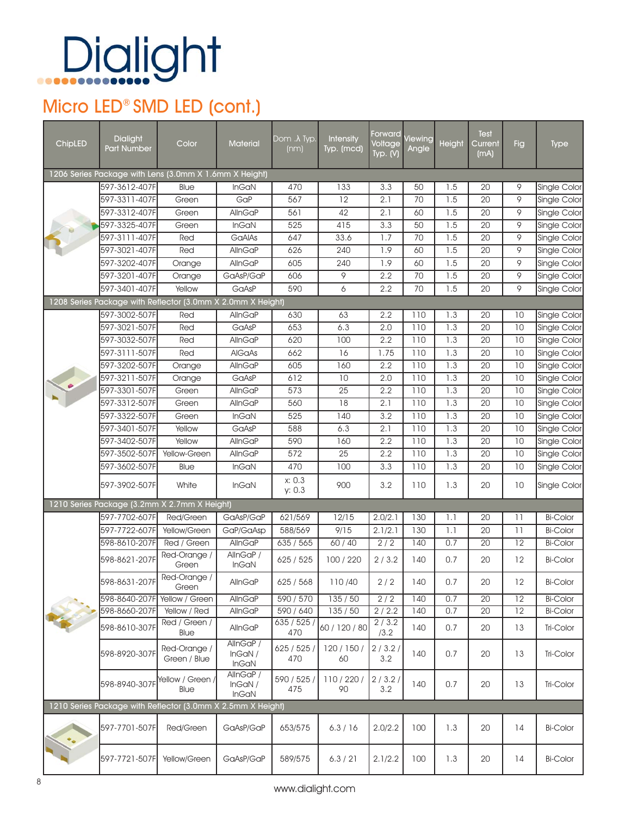#### Micro LED<sup>®</sup> SMD LED (cont.)

| ChipLED | <b>Dialight</b><br><b>Part Number</b> | Color                                                       | <b>Material</b>                    | $\overline{\mathsf{Dom}}$ . $\overline{\lambda}$ Typ.<br>(nm) | <b>Intensity</b><br>Typ. (mcd) | Forward<br>Voltage<br>Typ. (V) | <b>Viewing</b><br>Angle | Height | Test<br>Current<br>(mA) | Fig             | <b>Type</b>         |
|---------|---------------------------------------|-------------------------------------------------------------|------------------------------------|---------------------------------------------------------------|--------------------------------|--------------------------------|-------------------------|--------|-------------------------|-----------------|---------------------|
|         |                                       | 1206 Series Package with Lens (3.0mm X 1.6mm X Height)      |                                    |                                                               |                                |                                |                         |        |                         |                 |                     |
|         | 597-3612-407F                         | Blue                                                        | <b>InGaN</b>                       | 470                                                           | 133                            | 3.3                            | 50                      | 1.5    | 20                      | 9               | Single Color        |
|         | 597-3311-407F                         | Green                                                       | GaP                                | 567                                                           | 12                             | 2.1                            | 70                      | 1.5    | 20                      | 9               | Single Color        |
|         | 597-3312-407F                         | Green                                                       | AllnGaP                            | 561                                                           | 42                             | 2.1                            | 60                      | 1.5    | 20                      | 9               | Single Color        |
|         | 597-3325-407F                         | Green                                                       | <b>InGaN</b>                       | 525                                                           | 415                            | 3.3                            | 50                      | 1.5    | 20                      | 9               | Single Color        |
|         | 597-3111-407F                         | Red                                                         | GaAlAs                             | 647                                                           | 33.6                           | 1.7                            | 70                      | 1.5    | 20                      | 9               | Single Color        |
|         | 597-3021-407F                         | Red                                                         | <b>AllnGaP</b>                     | 626                                                           | 240                            | 1.9                            | 60                      | 1.5    | 20                      | 9               | Single Color        |
|         | 597-3202-407F                         | Orange                                                      | AllnGaP                            | 605                                                           | 240                            | 1.9                            | 60                      | 1.5    | 20                      | 9               | Single Color        |
|         | 597-3201-407F                         | Orange                                                      | GaAsP/GaP                          | 606                                                           | 9                              | 2.2                            | 70                      | 1.5    | 20                      | 9               | Single Color        |
|         | 597-3401-407F                         | Yellow                                                      | GaAsP                              | 590                                                           | 6                              | 2.2                            | 70                      | 1.5    | 20                      | 9               | Single Color        |
|         |                                       | 1208 Series Package with Reflector (3.0mm X 2.0mm X Height) |                                    |                                                               |                                |                                |                         |        |                         |                 |                     |
|         | 597-3002-507F                         | Red                                                         | AllnGaP                            | 630                                                           | 63                             | 2.2                            | 110                     | 1.3    | 20                      | 10              | Single Color        |
|         | 597-3021-507F                         | Red                                                         | GaAsP                              | 653                                                           | 6.3                            | 2.0                            | 110                     | 1.3    | 20                      | 10              | Single Color        |
|         | 597-3032-507F                         | Red                                                         | AllnGaP                            | 620                                                           | 100                            | 2.2                            | 110                     | 1.3    | 20                      | 10              | Single Color        |
|         | 597-3111-507F                         | Red                                                         | AIGaAs                             | 662                                                           | 16                             | 1.75                           | 110                     | 1.3    | 20                      | $\overline{10}$ | Single Color        |
|         | 597-3202-507F                         | Orange                                                      | AllnGaP                            | 605                                                           | 160                            | 2.2                            | 110                     | 1.3    | 20                      | 10              | Single Color        |
|         | 597-3211-507F                         | Orange                                                      | GaAsP                              | 612                                                           | $\overline{10}$                | 2.0                            | 110                     | 1.3    | 20                      | $\overline{10}$ | Single Color        |
|         | 597-3301-507F                         | Green                                                       | AllnGaP                            | 573                                                           | 25                             | 2.2                            | 110                     | 1.3    | 20                      | 10              | <b>Single Color</b> |
|         | 597-3312-507F                         | Green                                                       | AllnGaP                            | 560                                                           | 18                             | 2.1                            | 110                     | 1.3    | 20                      | 10              | Single Color        |
|         | 597-3322-507F                         | Green                                                       | <b>InGaN</b>                       | 525                                                           | 140                            | 3.2                            | 110                     | 1.3    | 20                      | 10              | Single Color        |
|         | 597-3401-507F                         | Yellow                                                      | GaAsP                              | 588                                                           | 6.3                            | 2.1                            | 110                     | 1.3    | 20                      | 10              | Single Color        |
|         | 597-3402-507F                         | Yellow                                                      | <b>AllnGaP</b>                     | 590                                                           | 160                            | 2.2                            | 110                     | 1.3    | 20                      | 10              | Single Color        |
|         | 597-3502-507F                         | Yellow-Green                                                | AllnGaP                            | 572                                                           | 25                             | 2.2                            | 110                     | 1.3    | 20                      | 10              | Single Color        |
|         | 597-3602-507F                         | Blue                                                        | <b>InGaN</b>                       | 470                                                           | 100                            | 3.3                            | 110                     | 1.3    | 20                      | 10              | Single Color        |
|         | 597-3902-507F                         | White                                                       | <b>InGaN</b>                       | x: 0.3<br>y: 0.3                                              | 900                            | 3.2                            | 110                     | 1.3    | 20                      | 10              | Single Color        |
|         |                                       | 1210 Series Package (3.2mm X 2.7mm X Height)                |                                    |                                                               |                                |                                |                         |        |                         |                 |                     |
|         | 597-7702-607F                         | Red/Green                                                   | GaAsP/GaP                          | 621/569                                                       | 12/15                          | 2.0/2.1                        | 130                     | 1.1    | 20                      | 11              | <b>Bi-Color</b>     |
|         | 597-7722-607F                         | Yellow/Green                                                | GaP/GaAsp                          | 588/569                                                       | 9/15                           | 2.1/2.1                        | 130                     | 1.1    | 20                      | 11              | <b>Bi-Color</b>     |
|         | 598-8610-207F                         | Red / Green                                                 | <b>AllnGaP</b>                     | 635/565                                                       | 60/40                          | 2/2                            | 140                     | 0.7    | 20                      | 12              | <b>Bi-Color</b>     |
|         | 598-8621-207F                         | Red-Orange /<br>Green                                       | AllnGaP /<br>InGaN                 | 625/525                                                       | 100 / 220                      | 2/3.2                          | 140                     | 0.7    | 20                      | 12              | <b>Bi-Color</b>     |
|         | 598-8631-207F Red-Orange /            | Green                                                       | AllnGaP                            | 625 / 568                                                     | 110/40                         | 2/2                            | 140                     | 0.7    | 20                      | 12              | <b>Bi-Color</b>     |
|         | 598-8640-207F                         | Yellow / Green                                              | <b>AllnGaP</b>                     | 590 / 570                                                     | 135 / 50                       | 2/2                            | 140                     | 0.7    | 20                      | 12              | <b>Bi-Color</b>     |
|         | 598-8660-207F                         | Yellow / Red                                                | AllnGaP                            | 590 / 640                                                     | 135 / 50                       | 2/2.2                          | 140                     | 0.7    | 20                      | 12              | <b>Bi-Color</b>     |
|         | 598-8610-307F                         | Red / Green /<br>Blue                                       | AllnGaP                            | 635/525/<br>470                                               | 60 / 120 / 80                  | 2/3.2<br>/3.2                  | 140                     | 0.7    | 20                      | 13              | Tri-Color           |
|         | 598-8920-307F                         | Red-Orange /<br>Green / Blue                                | AllnGaP/<br>InGaN/<br>InGaN        | 625/525/<br>470                                               | 120 / 150 /<br>60              | 2/3.2/<br>3.2                  | 140                     | 0.7    | 20                      | 13              | Tri-Color           |
|         | 598-8940-307F                         | Yellow / Green /<br>Blue                                    | AllnGaP/<br>InGAN/<br><b>InGaN</b> | 590 / 525 /<br>475                                            | 110/220/<br>90                 | 2/3.2/<br>3.2                  | 140                     | 0.7    | 20                      | 13              | Tri-Color           |
|         |                                       | 1210 Series Package with Reflector (3.0mm X 2.5mm X Height) |                                    |                                                               |                                |                                |                         |        |                         |                 |                     |
|         | 597-7701-507F                         | Red/Green                                                   | GaAsP/GaP                          | 653/575                                                       | 6.3/16                         | 2.0/2.2                        | 100                     | 1.3    | 20                      | 14              | <b>Bi-Color</b>     |
|         | 597-7721-507F                         | Yellow/Green                                                | GaAsP/GaP                          | 589/575                                                       | 6.3 / 21                       | 2.1/2.2                        | 100                     | 1.3    | 20                      | 14              | <b>Bi-Color</b>     |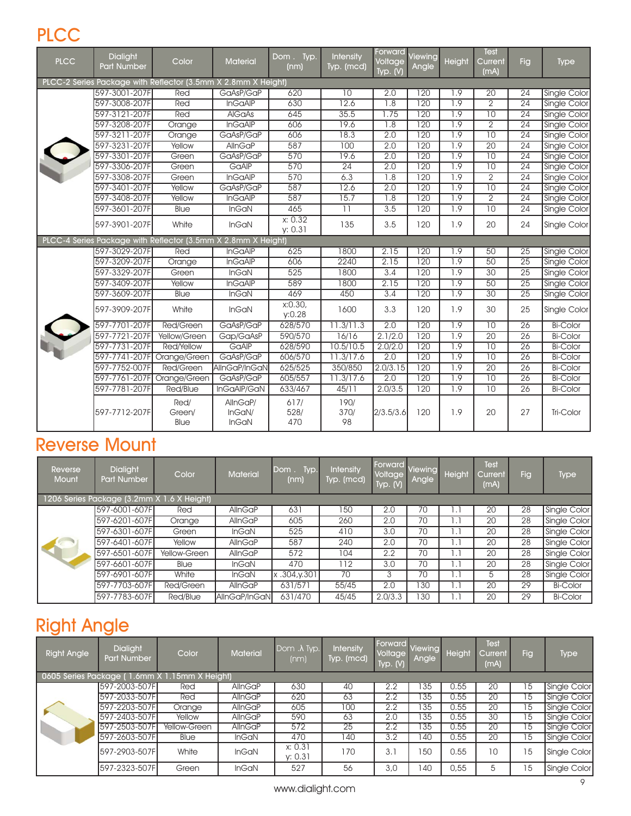#### **PLCC**

| <b>PLCC</b> | <b>Dialight</b><br><b>Part Number</b> | Color                                                         | Material                    | Dom. Typ.<br>(nm)   | <b>Intensity</b><br>Typ. (mcd) | Forward<br>Voltage<br>Typ. $(y)$ | Viewing<br>Angle | Height           | <b>Test</b><br>Current<br>(mA) | <b>Fig</b>      | <b>Type</b>         |
|-------------|---------------------------------------|---------------------------------------------------------------|-----------------------------|---------------------|--------------------------------|----------------------------------|------------------|------------------|--------------------------------|-----------------|---------------------|
|             |                                       | PLCC-2 Series Package with Reflector (3.5mm X 2.8mm X Height) |                             |                     |                                |                                  |                  |                  |                                |                 |                     |
|             | 597-3001-207F                         | Red                                                           | GaAsP/GaP                   | 620                 | 10                             | 2.0                              | 120              | 1.9              | 20                             | 24              | <b>Single Color</b> |
|             | 597-3008-207F                         | Red                                                           | <b>InGaAIP</b>              | 630                 | 12.6                           | $\overline{1.8}$                 | 120              | 1.9              | $\overline{2}$                 | $\overline{24}$ | <b>Single Color</b> |
|             | 597-3121-207F                         | Red                                                           | <b>AlGaAs</b>               | 645                 | 35.5                           | 1.75                             | 120              | 1.9              | $\overline{10}$                | $\overline{24}$ | Single Color        |
|             | 597-3208-207F                         | Orange                                                        | <b>InGaAIP</b>              | 606                 | 19.6                           | 1.8                              | 120              | $\overline{1.9}$ | $\overline{2}$                 | $\overline{24}$ | <b>Single Color</b> |
|             | 597-3211-207F                         | Orange                                                        | GaAsP/GaP                   | 606                 | 18.3                           | 2.0                              | 120              | 1.9              | $\overline{10}$                | $\overline{24}$ | <b>Single Color</b> |
|             | 597-3231-207F                         | Yellow                                                        | <b>AllnGaP</b>              | 587                 | 100                            | 2.0                              | $\overline{120}$ | 1.9              | $\overline{20}$                | $\overline{24}$ | Single Color        |
|             | 597-3301-207F                         | Green                                                         | GaAsP/GaP                   | 570                 | 19.6                           | 2.0                              | 120              | 1.9              | $\overline{10}$                | 24              | Single Color        |
|             | 597-3306-207F                         | Green                                                         | GaAIP                       | 570                 | $\overline{24}$                | 2.0                              | 120              | 1.9              | 10                             | $\overline{24}$ | <b>Single Color</b> |
|             | 597-3308-207F                         | Green                                                         | <b>InGaAIP</b>              | 570                 | 6.3                            | 1.8                              | $\overline{120}$ | 1.9              | $\overline{2}$                 | $\overline{24}$ | Single Color        |
|             | 597-3401-207F                         | Yellow                                                        | GaAsP/GaP                   | 587                 | 12.6                           | 2.0                              | 120              | 1.9              | $\overline{10}$                | $\overline{24}$ | <b>Single Color</b> |
|             | 597-3408-207F                         | Yellow                                                        | <b>InGaAIP</b>              | 587                 | 15.7                           | $\overline{1.8}$                 | 120              | 1.9              | $\overline{2}$                 | $\overline{24}$ | Single Color        |
|             | 597-3601-207F                         | <b>Blue</b>                                                   | <b>InGaN</b>                | 465                 | $\overline{11}$                | 3.5                              | 120              | 1.9              | $\overline{10}$                | $\overline{24}$ | Single Color        |
|             | 597-3901-207F                         | White                                                         | InGaN                       | x: 0.32<br>y: 0.31  | 135                            | 3.5                              | 120              | 1.9              | 20                             | 24              | <b>Single Color</b> |
|             |                                       | PLCC-4 Series Package with Reflector (3.5mm X 2.8mm X Height) |                             |                     |                                |                                  |                  |                  |                                |                 |                     |
|             | 597-3029-207F                         | Red                                                           | <b>InGaAIP</b>              | 625                 | 1800                           | 2.15                             | 120              | 1.9              | 50                             | 25              | Single Color        |
|             | 597-3209-207F                         | Orange                                                        | <b>InGaAIP</b>              | 606                 | 2240                           | 2.15                             | 120              | 1.9              | 50                             | 25              | <b>Single Color</b> |
|             | 597-3329-207F                         | Green                                                         | <b>InGaN</b>                | 525                 | 1800                           | 3.4                              | 120              | 1.9              | $\overline{30}$                | $\overline{25}$ | Single Color        |
|             | 597-3409-207F                         | Yellow                                                        | <b>InGaAIP</b>              | 589                 | 1800                           | 2.15                             | 120              | $\overline{1.9}$ | 50                             | $\overline{25}$ | <b>Single Color</b> |
|             | 597-3609-207F                         | <b>Blue</b>                                                   | <b>InGaN</b>                | 469                 | 450                            | 3.4                              | 120              | 1.9              | 30                             | $\overline{25}$ | <b>Single Color</b> |
|             | 597-3909-207F                         | White                                                         | InGaN                       | x:0.30<br>V:0.28    | 1600                           | 3.3                              | 120              | 1.9              | 30                             | 25              | Single Color        |
|             | 597-7701-207F                         | <b>Red/Green</b>                                              | GaAsP/GaP                   | 628/570             | 11.3/11.3                      | 2.0                              | 120              | 1.9              | 10                             | $\overline{26}$ | <b>Bi-Color</b>     |
|             | 597-7721-207F                         | Yellow/Green                                                  | Gap/GaAsP                   | 590/570             | 16/16                          | 2.1/2.0                          | 120              | $\overline{1.9}$ | $\overline{20}$                | $\overline{26}$ | <b>Bi-Color</b>     |
|             | 597-7731-207F                         | <b>Red/Yellow</b>                                             | GaAIP                       | 628/590             | 10.5/10.5                      | 2.0/2.0                          | 120              | 1.9              | $\overline{10}$                | $\overline{26}$ | <b>Bi-Color</b>     |
|             | 597-7741-207F                         | Orange/Green                                                  | GaAsP/GaP                   | 606/570             | 11.3/17.6                      | 2.0                              | $\overline{120}$ | 1.9              | $\overline{10}$                | $\overline{26}$ | <b>Bi-Color</b>     |
|             | 597-7752-007F                         | <b>Red/Green</b>                                              | AllnGaP/InGaN               | 625/525             | 350/850                        | 2.0/3.15                         | $\overline{120}$ | 1.9              | $\overline{20}$                | 26              | <b>Bi-Color</b>     |
|             | 597-7761-207F                         | Orange/Green                                                  | GaAsP/GaP                   | 605/557             | 11.3/17.6                      | 2.0                              | 120              | 1.9              | $\overline{10}$                | $\overline{26}$ | <b>Bi-Color</b>     |
|             | 597-7781-207F                         | <b>Red/Blue</b>                                               | InGaAIP/GaN                 | 633/467             | 45/11                          | 2.0/3.5                          | 120              | 1.9              | $\overline{10}$                | $\overline{26}$ | <b>Bi-Color</b>     |
|             | 597-7712-207F                         | Red/<br>Green/<br>Blue                                        | AllnGaP/<br>InGaN/<br>InGaN | 617/<br>528/<br>470 | 190/<br>370/<br>98             | 2/3.5/3.6                        | 120              | 1.9              | 20                             | 27              | Tri-Color           |

#### Reverse Mount

| Reverse<br><b>Mount</b>                    | <b>Dialight</b><br><b>Part Number</b> | Color        | <b>Material</b>        | Dom. Typ.<br>(nm) | Intensity<br>Typ. (mcd) | Forward Viewing<br>Voltage<br>Typ. (V) | Angle | Height       | Test<br>Current<br>(mA) | Fig. | <b>Type</b>     |
|--------------------------------------------|---------------------------------------|--------------|------------------------|-------------------|-------------------------|----------------------------------------|-------|--------------|-------------------------|------|-----------------|
| 1206 Series Package (3.2mm X 1.6 X Height) |                                       |              |                        |                   |                         |                                        |       |              |                         |      |                 |
|                                            | 597-6001-607Fl                        | Red          | <b>AllnGaP</b>         | 631               | 150                     | 2.0                                    | 70    | $\mathbf{L}$ | 20                      | 28   | Single Color    |
|                                            | 597-6201-607F                         | Orange       | <b>AllnGaP</b>         | 605               | 260                     | 2.0                                    | 70    | 1.1          | 20                      | 28   | Single Color    |
|                                            | 597-6301-607F                         | Green        | <b>InGaN</b>           | 525               | 410                     | 3.0                                    | 70    | 1.1          | 20                      | 28   | Single Color    |
|                                            | 597-6401-607F                         | Yellow       | <b>AllnGaP</b>         | 587               | 240                     | 2.0                                    | 70    | 1.1          | 20                      | 28   | Single Color    |
|                                            | 597-6501-607F                         | Yellow-Green | <b>AllnGaP</b>         | 572               | 104                     | 2.2                                    | 70    | $\mathsf{L}$ | 20                      | 28   | Single Color    |
|                                            | 597-6601-607F                         | Blue         | <b>InGaN</b>           | 470               | 112                     | 3.0                                    | 70    | 1.1          | 20                      | 28   | Single Color    |
|                                            | 597-6901-607F                         | White        | <b>InGaN</b>           | x.304, y.301      | 70                      | 3                                      | 70    | 1.1          | 5                       | 28   | Single Color    |
|                                            | 597-7703-607F                         | Red/Green    | <b>AllnGaP</b>         | 631/571           | 55/45                   | 2.0                                    | 30    | 1. I         | 20                      | 29   | <b>Bi-Color</b> |
|                                            | 597-7783-607FI                        | Red/Blue     | <b>IAIInGaP/InGaNI</b> | 631/470           | 45/45                   | 2.0/3.3                                | 130   | 1.1          | 20                      | 29   | <b>Bi-Color</b> |

#### Right Angle

| <b>Right Angle</b>                            | <b>Dialight</b><br><b>Part Number</b> | Color               | <b>Material</b> | Dom . A Typ.<br>(nm) | <b>Intensity</b><br>Typ. (mcd) | Forward Viewing<br>Voltage<br>Typ. $(V)$ | Angle | Height | Test<br>Current<br>(mA) | Fig | <b>Type</b>  |  |  |
|-----------------------------------------------|---------------------------------------|---------------------|-----------------|----------------------|--------------------------------|------------------------------------------|-------|--------|-------------------------|-----|--------------|--|--|
| 0605 Series Package (1.6mm X 1.15mm X Height) |                                       |                     |                 |                      |                                |                                          |       |        |                         |     |              |  |  |
|                                               | 597-2003-507F                         | Red                 | <b>AllnGaP</b>  | 630                  | 40                             | 2.2                                      | 35    | 0.55   | 20                      | 15  | Single Color |  |  |
|                                               | 597-2033-507F                         | Red                 | <b>AllnGaP</b>  | 620                  | 63                             | 2.2                                      | 35    | 0.55   | 20                      | 15  | Single Color |  |  |
|                                               | 597-2203-507F                         | Orange              | <b>AllnGaP</b>  | 605                  | 100                            | 2.2                                      | 35    | 0.55   | 20                      | 15  | Single Color |  |  |
|                                               | 597-2403-507F                         | Yellow              | <b>AllnGaP</b>  | 590                  | 63                             | 2.0                                      | 35    | 0.55   | 30                      | 15  | Single Color |  |  |
|                                               | 597-2503-507F                         | <b>Yellow-Green</b> | <b>AllnGaP</b>  | 572                  | $\overline{25}$                | 2.2                                      | 35    | 0.55   | $\overline{20}$         | 15  | Single Color |  |  |
|                                               | 597-2603-507F                         | Blue                | <b>InGaN</b>    | 470                  | 140                            | 3.2                                      | 40    | 0.55   | $2\overline{0}$         | 15  | Single Color |  |  |
|                                               | 597-2903-507F                         | White               | <b>InGaN</b>    | x: 0.31<br>V: 0.31   | 170                            | 3.1                                      | 50    | 0.55   | 10                      | 15  | Single Color |  |  |
|                                               | 597-2323-507F                         | Green               | <b>InGaN</b>    | 527                  | 56                             | 3,0                                      | 40    | 0,55   | 5                       | 15  | Single Color |  |  |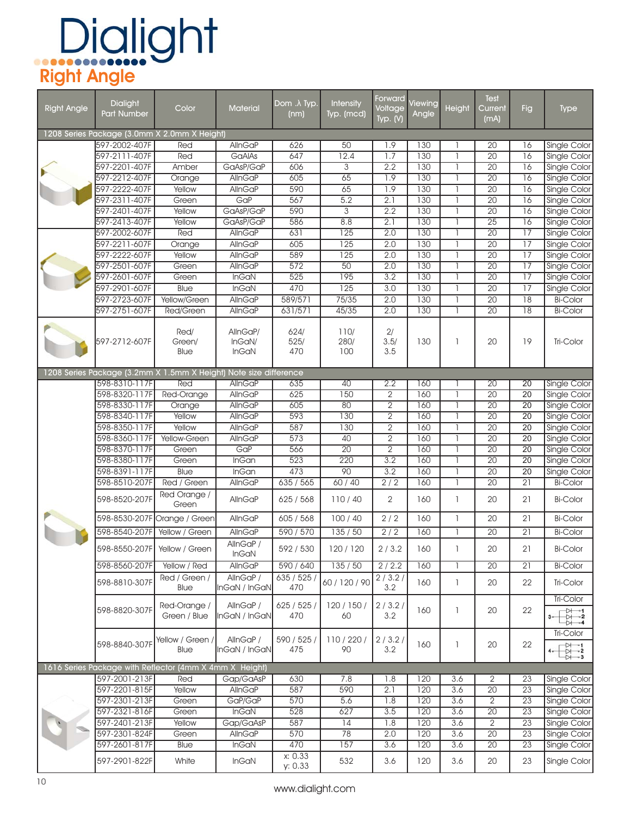# Dialight<br>Right Angle

| <b>Right Angle</b> | <b>Dialight</b>              | Color                                                             | <b>Material</b>           | Dom . A Typ.       | <b>Intensity</b> | Forward<br>Voltage | Viewing | Height         | Test<br>Current | <b>Fig</b>      |                                                                                    |
|--------------------|------------------------------|-------------------------------------------------------------------|---------------------------|--------------------|------------------|--------------------|---------|----------------|-----------------|-----------------|------------------------------------------------------------------------------------|
|                    | <b>Part Number</b>           |                                                                   |                           | (nm)               | Typ. (mcd)       | Typ. $(V)$         | Angle   |                | (mA)            |                 | <b>Type</b>                                                                        |
|                    |                              | 1208 Series Package (3.0mm X 2.0mm X Height)                      |                           |                    |                  |                    |         |                |                 |                 |                                                                                    |
|                    | 597-2002-407F                | Red                                                               | AllnGaP                   | 626                | 50               | 1.9                | 130     |                | 20              | 16              | <b>Single Color</b>                                                                |
|                    | 597-2111-407F                | Red                                                               | GaAIAs                    | 647                | 12.4             | 1.7                | 130     | $\mathbf{1}$   | 20              | 16              | <b>Single Color</b>                                                                |
|                    | 597-2201-407F                | Amber                                                             | GaAsP/GaP                 | 606                | $\overline{3}$   | 2.2                | 130     | 1              | $\overline{20}$ | 16              | <b>Single Color</b>                                                                |
|                    | 597-2212-407F                | Orange                                                            | AllnGaP                   | 605                | 65               | 1.9                | 130     |                | $\overline{20}$ | 16              | <b>Single Color</b>                                                                |
|                    | 597-2222-407F                | Yellow                                                            | <b>AllnGaP</b>            | 590                | 65               | 1.9                | 130     |                | $\overline{20}$ | $\overline{16}$ | Single Color                                                                       |
|                    | 597-2311-407F                | Green                                                             | GaP                       | 567                | 5.2              | 2.1                | 130     | $\overline{1}$ | $\overline{20}$ | 16              | Single Color                                                                       |
|                    | 597-2401-407F                | Yellow                                                            | GaAsP/GaP                 | 590                | $\overline{3}$   | 2.2                | 130     | 1              | $\overline{20}$ | $\overline{16}$ | Single Color                                                                       |
|                    | 597-2413-407F                | Yellow                                                            | GaAsP/GaP                 | 586                | 8.8              | 2.1                | 130     | ı              | $\overline{25}$ | 16              | <b>Single Color</b>                                                                |
|                    | 597-2002-607F                | Red                                                               | AllnGaP                   | 631                | $\overline{125}$ | 2.0                | 130     | 1              | $\overline{20}$ | $\overline{17}$ | <b>Single Color</b>                                                                |
|                    | 597-2211-607F                | Orange                                                            | <b>AllnGaP</b>            | 605                | $\overline{125}$ | 2.0                | 130     | ı              | $\overline{20}$ | 17              | Single Color                                                                       |
|                    | 597-2222-607F                | Yellow                                                            | <b>AllnGaP</b>            | 589                | $\overline{125}$ | 2.0                | 130     | $\mathbf{1}$   | $\overline{20}$ | $\overline{17}$ | Single Color                                                                       |
|                    | 597-2501-607F                | Green                                                             | <b>AllnGaP</b>            | 572                | $\overline{50}$  | 2.0                | 130     |                | 20              | 17              | <b>Single Color</b>                                                                |
|                    | 597-2601-607F                | Green                                                             | <b>InGaN</b>              | 525                | 195              | 3.2                | 130     |                | $\overline{20}$ | $\overline{17}$ | <b>Single Color</b>                                                                |
|                    | 597-2901-607F                | <b>Blue</b>                                                       | <b>InGaN</b>              | 470                | 125              | 3.0                | 130     | -1             | 20              | 17              | Single Color                                                                       |
|                    | 597-2723-607F                | Yellow/Green                                                      | <b>AllnGaP</b>            | 589/571            | 75/35            | 2.0                | 130     | $\mathbf{1}$   | $\overline{20}$ | $\overline{18}$ | <b>Bi-Color</b>                                                                    |
|                    | 597-2751-607F                | <b>Red/Green</b>                                                  | <b>AllnGaP</b>            | 631/571            | 45/35            | 2.0                | 130     | $\mathbf{1}$   | $\overline{20}$ | $\overline{18}$ | <b>Bi-Color</b>                                                                    |
|                    |                              |                                                                   |                           |                    |                  |                    |         |                |                 |                 |                                                                                    |
|                    | 597-2712-607F                | Red/<br>Green/                                                    | AllnGaP/<br>InGaN/        | 624/<br>525/       | 110/<br>280/     | 2/<br>3.5/         | 130     | $\mathbb{I}$   | 20              | 19              | Tri-Color                                                                          |
|                    |                              | Blue                                                              | InGaN                     | 470                | 100              | 3.5                |         |                |                 |                 |                                                                                    |
|                    |                              |                                                                   |                           |                    |                  |                    |         |                |                 |                 |                                                                                    |
|                    |                              | 1208 Series Package (3.2mm X 1.5mm X Height) Note size difference |                           |                    |                  |                    |         |                |                 |                 |                                                                                    |
|                    | 598-8310-117F                | Red                                                               | AllnGaP                   | 635                | 40               | 2.2                | 160     |                | $\overline{20}$ | 20              | Single Color                                                                       |
|                    | 598-8320-117F                | Red-Orange                                                        | AllnGaP                   | 625                | 150              | $\overline{2}$     | 160     |                | $\overline{20}$ | 20              | <b>Single Color</b>                                                                |
|                    | 598-8330-117F                | Orange                                                            | <b>AllnGaP</b>            | 605                | 80               | 2                  | 160     |                | $\overline{20}$ | $\overline{20}$ | Single Color                                                                       |
|                    | 598-8340-117F                | Yellow                                                            | AllnGaP                   | 593                | 130              | $\overline{2}$     | 160     | $\overline{1}$ | 20              | 20              | Single Color                                                                       |
|                    | 598-8350-117F                | Yellow                                                            | <b>AllnGaP</b>            | 587                | 130              | $\overline{2}$     | 160     | ı              | $\overline{20}$ | $\overline{20}$ | <b>Single Color</b>                                                                |
|                    | 598-8360-117F                | Yellow-Green                                                      | AllnGaP                   | 573                | 40               | $\overline{2}$     | 160     | 1              | $\overline{20}$ | $\overline{20}$ | Single Color                                                                       |
|                    | 598-8370-117F                | Green                                                             | GaP                       | 566                | $\overline{20}$  | $\overline{2}$     | 160     | 1              | $\overline{20}$ | $\overline{20}$ | <b>Single Color</b>                                                                |
|                    | 598-8380-117F                | Green                                                             | InGan                     | 523                | 220              | 3.2                | 160     | $\mathbf{1}$   | $\overline{20}$ | 20              | <b>Single Color</b>                                                                |
|                    | 598-8391-117F                | <b>Blue</b>                                                       | <b>InGan</b>              | 473                | 90               | 3.2                | 160     | $\mathbf{1}$   | $\overline{20}$ | $\overline{20}$ | <b>Single Color</b>                                                                |
|                    | 598-8510-207F                | Red / Green                                                       | <b>AllnGaP</b>            | 635/565            | 60/40            | 2/2                | 160     |                | $\overline{20}$ | $\overline{21}$ | <b>Bi-Color</b>                                                                    |
|                    | 598-8520-207F                | Red Orange /<br>Green                                             | AllnGaP                   | 625 / 568          | 110/40           | 2                  | 160     | $\mathbf{I}$   | 20              | 21              | <b>Bi-Color</b>                                                                    |
|                    |                              | 598-8530-207F Orange / Green                                      | AllnGaP                   | 605 / 568          | 100/40           | 2/2                | 160     | $\mathbf{I}$   | 20              | 21              | <b>Bi-Color</b>                                                                    |
|                    | 598-8540-207F Yellow / Green |                                                                   | <b>AllnGaP</b>            | 590 / 570          | 135/50           | 2/2                | 160     | 1              | $\overline{20}$ | $\overline{21}$ | <b>Bi-Color</b>                                                                    |
|                    | 598-8550-207F Yellow / Green |                                                                   | AllnGaP /<br><b>InGaN</b> | 592 / 530          | 120/120          | 2/3.2              | 160     |                | 20              | 21              | <b>Bi-Color</b>                                                                    |
|                    | 598-8560-207F                | Yellow / Red                                                      | AllnGaP                   | 590 / 640          | 135/50           | 2/2.2              | 160     | 1              | $\overline{20}$ | $\overline{21}$ | <b>Bi-Color</b>                                                                    |
|                    |                              | Red / Green /                                                     | AllnGaP /                 | 635/525            |                  | 2/3.2/             |         |                |                 |                 |                                                                                    |
|                    | 598-8810-307F                | Blue                                                              | InGaN / InGaN             | 470                | 60 / 120 / 90    | 3.2                | 160     | $\mathbb{I}$   | 20              | 22              | Tri-Color<br><b>Tri-Color</b>                                                      |
|                    | 598-8820-307F                | Red-Orange /                                                      | AllnGaP /                 | 625 / 525 /        | 120 / 150 /      | 2/3.2/             | 160     | $\mathbb{I}$   | 20              | 22              |                                                                                    |
|                    |                              | Green / Blue                                                      | InGaN / InGaN             | 470                | 60               | 3.2                |         |                |                 |                 | $\frac{1}{2}$<br>₩                                                                 |
|                    | 598-8840-307F                | Yellow / Green /                                                  | AllnGaP /                 | 590 / 525 /        | 110/220/         | 2/3.2/             | 160     | $\mathbb{I}$   | 20              | 22              | Tri-Color                                                                          |
|                    |                              | Blue                                                              | InGaN / InGaN             | 475                | 90               | 3.2                |         |                |                 |                 | $\begin{array}{c}\n\stackrel{\bullet}{\leftrightarrow} \\ \downarrow\n\end{array}$ |
|                    |                              | 1616 Series Package with Reflector (4mm X 4mm X Height)           |                           |                    |                  |                    |         |                |                 |                 |                                                                                    |
|                    | 597-2001-213F                | Red                                                               | Gap/GaAsP                 | 630                | 7.8              | 1.8                | 120     | 3.6            | 2               | 23              | Single Color                                                                       |
|                    | 597-2201-815F                | Yellow                                                            | <b>AllnGaP</b>            | 587                | 590              | 2.1                | 120     | 3.6            | $\overline{20}$ | 23              | Single Color                                                                       |
|                    | 597-2301-213F                | Green                                                             | GaP/GaP                   | 570                | 5.6              | 1.8                | 120     | 3.6            | $\overline{2}$  | $\overline{23}$ | Single Color                                                                       |
|                    | 597-2321-816F                | Green                                                             | InGaN                     | 528                | 627              | 3.5                | 120     | 3.6            | $\overline{20}$ | 23              | Single Color                                                                       |
|                    | 597-2401-213F                | Yellow                                                            | Gap/GaAsP                 | 587                | 14               | 1.8                | 120     | 3.6            | $\overline{2}$  | 23              | Single Color                                                                       |
|                    | 597-2301-824F                | Green                                                             | AllnGaP                   | 570                | 78               | 2.0                | 120     | 3.6            | 20              | 23              | Single Color                                                                       |
|                    | 597-2601-817F                | Blue                                                              | <b>InGaN</b>              | 470                | 157              | 3.6                | 120     | 3.6            | 20              | 23              | Single Color                                                                       |
|                    | 597-2901-822F                | White                                                             | <b>InGaN</b>              | x: 0.33<br>y: 0.33 | 532              | 3.6                | 120     | 3.6            | 20              | 23              | Single Color                                                                       |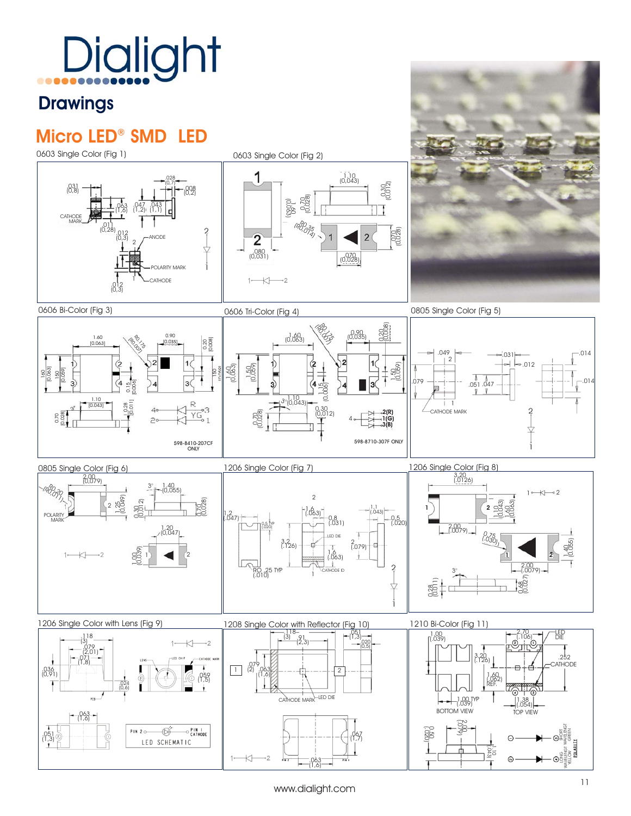#### **Drawings**

### Micro LED® SMD LED



.063 (1,6)

 $\overline{\mathbb{R}}$ ٠,  $\Theta^{\circledS}_\circ$ i WAVELENGT YELLOW

 $\odot$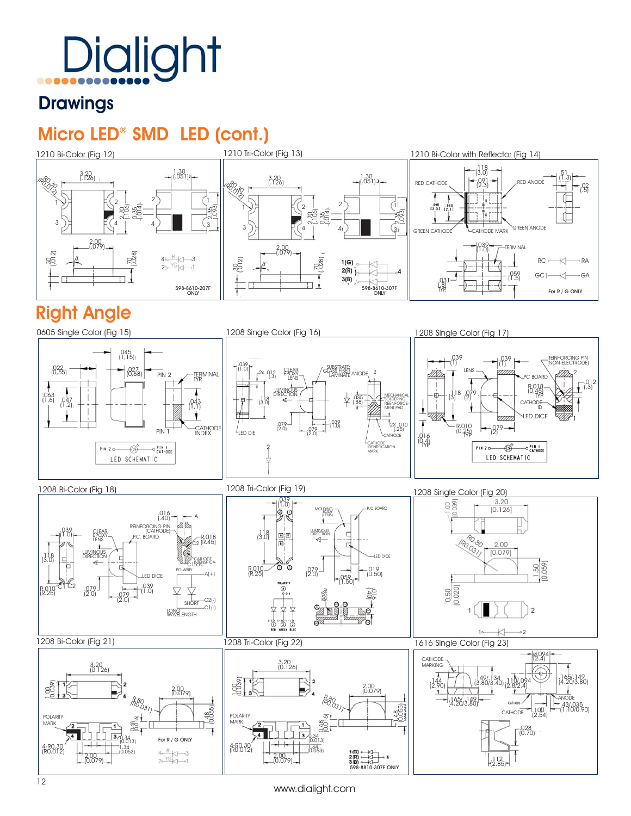#### **Drawings**

#### Micro LED® SMD LED (cont.)



#### Right Angle